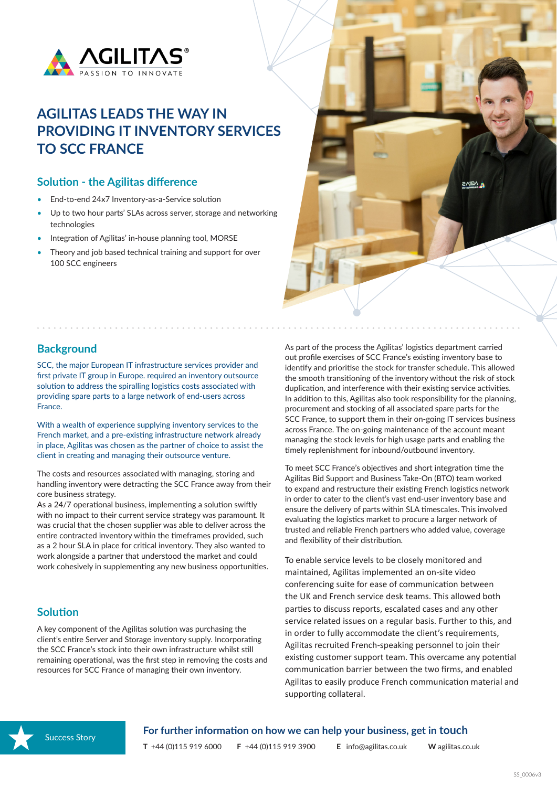

# **AGILITAS LEADS THE WAY IN PROVIDING IT INVENTORY SERVICES TO SCC FRANCE**

#### **Solution - the Agilitas difference**

- End-to-end 24x7 Inventory-as-a-Service solution
- Up to two hour parts' SLAs across server, storage and networking technologies
- Integration of Agilitas' in-house planning tool, MORSE
- Theorv and job based technical training and support for over 100 SCC engineers

## **Background**

SCC, the major European IT infrastructure services provider and first private IT group in Europe. required an inventory outsource solution to address the spiralling logistics costs associated with providing spare parts to a large network of end-users across France.

With a wealth of experience supplying inventory services to the French market, and a pre-existing infrastructure network already in place, Agilitas was chosen as the partner of choice to assist the client in creating and managing their outsource venture.

The costs and resources associated with managing, storing and handling inventory were detracting the SCC France away from their core business strategy.

As a 24/7 operational business, implementing a solution swiftly with no impact to their current service strategy was paramount. It was crucial that the chosen supplier was able to deliver across the entire contracted inventory within the timeframes provided, such as a 2 hour SLA in place for critical inventory. They also wanted to work alongside a partner that understood the market and could work cohesively in supplementing any new business opportunities.

### **Solution**

A key component of the Agilitas solution was purchasing the client's entire Server and Storage inventory supply. Incorporating the SCC France's stock into their own infrastructure whilst still remaining operational, was the first step in removing the costs and resources for SCC France of managing their own inventory.

As part of the process the Agilitas' logistics department carried out profile exercises of SCC France's existing inventory base to identify and prioritise the stock for transfer schedule. This allowed the smooth transitioning of the inventory without the risk of stock duplication, and interference with their existing service activities. In addition to this, Agilitas also took responsibility for the planning, procurement and stocking of all associated spare parts for the SCC France, to support them in their on-going IT services business across France. The on-going maintenance of the account meant managing the stock levels for high usage parts and enabling the timely replenishment for inbound/outbound inventory.

**VCIIVS** 

To meet SCC France's objectives and short integration time the Agilitas Bid Support and Business Take-On (BTO) team worked to expand and restructure their existing French logistics network in order to cater to the client's vast end-user inventory base and ensure the delivery of parts within SLA timescales. This involved evaluating the logistics market to procure a larger network of trusted and reliable French partners who added value, coverage and flexibility of their distribution.

To enable service levels to be closely monitored and maintained, Agilitas implemented an on-site video conferencing suite for ease of communication between the UK and French service desk teams. This allowed both parties to discuss reports, escalated cases and any other service related issues on a regular basis. Further to this, and in order to fully accommodate the client's requirements, Agilitas recruited French-speaking personnel to join their existing customer support team. This overcame any potential communication barrier between the two firms, and enabled Agilitas to easily produce French communication material and supporting collateral.